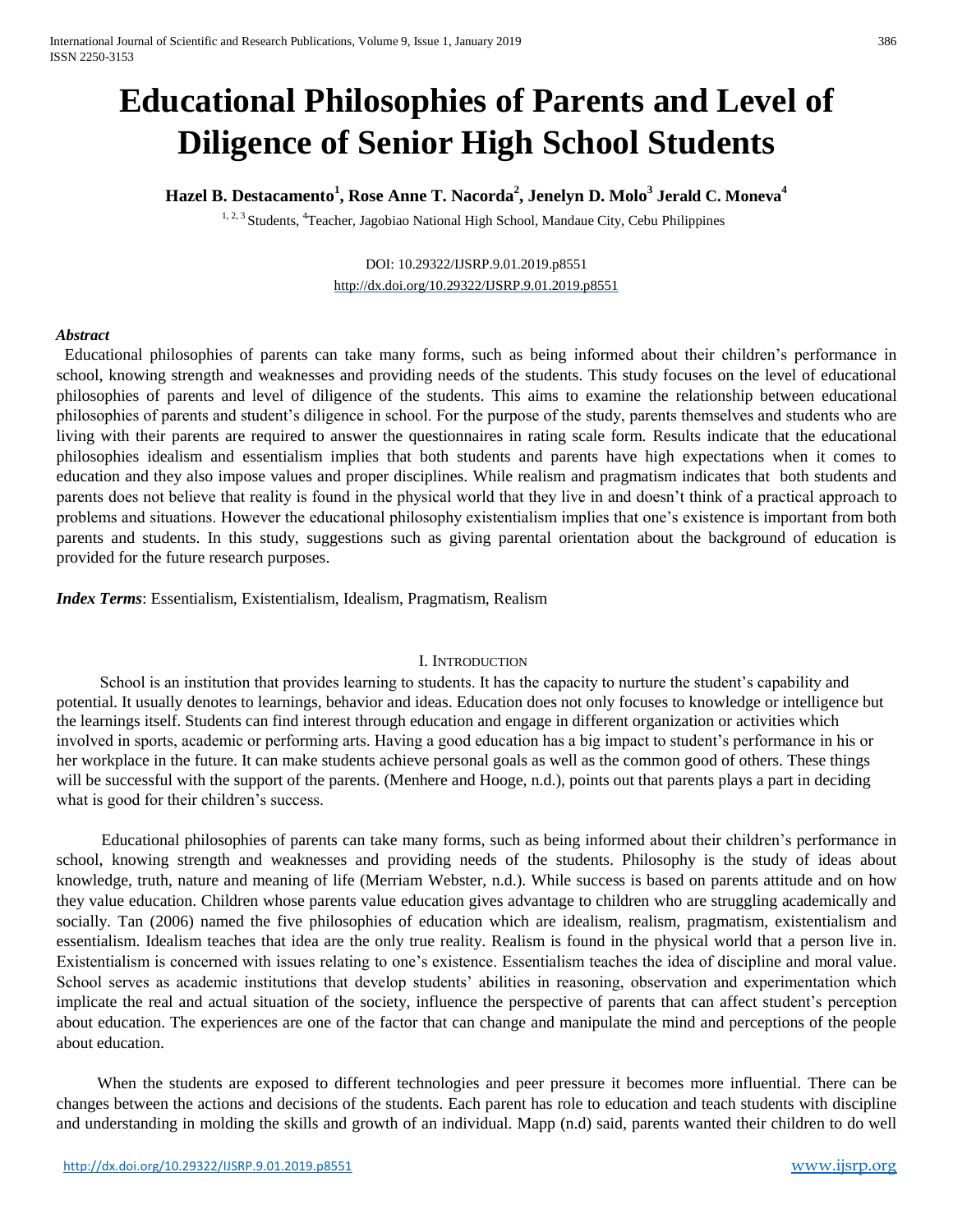# **Educational Philosophies of Parents and Level of Diligence of Senior High School Students**

# **Hazel B. Destacamento<sup>1</sup> , Rose Anne T. Nacorda<sup>2</sup> , Jenelyn D. Molo<sup>3</sup> Jerald C. Moneva<sup>4</sup>**

<sup>1, 2, 3</sup> Students, <sup>4</sup>Teacher, Jagobiao National High School, Mandaue City, Cebu Philippines

## DOI: 10.29322/IJSRP.9.01.2019.p8551 <http://dx.doi.org/10.29322/IJSRP.9.01.2019.p8551>

#### *Abstract*

Educational philosophies of parents can take many forms, such as being informed about their children's performance in school, knowing strength and weaknesses and providing needs of the students. This study focuses on the level of educational philosophies of parents and level of diligence of the students. This aims to examine the relationship between educational philosophies of parents and student's diligence in school. For the purpose of the study, parents themselves and students who are living with their parents are required to answer the questionnaires in rating scale form. Results indicate that the educational philosophies idealism and essentialism implies that both students and parents have high expectations when it comes to education and they also impose values and proper disciplines. While realism and pragmatism indicates that both students and parents does not believe that reality is found in the physical world that they live in and doesn't think of a practical approach to problems and situations. However the educational philosophy existentialism implies that one's existence is important from both parents and students. In this study, suggestions such as giving parental orientation about the background of education is provided for the future research purposes.

*Index Terms*: Essentialism, Existentialism, Idealism, Pragmatism, Realism

## I. INTRODUCTION

 School is an institution that provides learning to students. It has the capacity to nurture the student's capability and potential. It usually denotes to learnings, behavior and ideas. Education does not only focuses to knowledge or intelligence but the learnings itself. Students can find interest through education and engage in different organization or activities which involved in sports, academic or performing arts. Having a good education has a big impact to student's performance in his or her workplace in the future. It can make students achieve personal goals as well as the common good of others. These things will be successful with the support of the parents. (Menhere and Hooge, n.d.), points out that parents plays a part in deciding what is good for their children's success.

 Educational philosophies of parents can take many forms, such as being informed about their children's performance in school, knowing strength and weaknesses and providing needs of the students. Philosophy is the study of ideas about knowledge, truth, nature and meaning of life (Merriam Webster, n.d.). While success is based on parents attitude and on how they value education. Children whose parents value education gives advantage to children who are struggling academically and socially. Tan (2006) named the five philosophies of education which are idealism, realism, pragmatism, existentialism and essentialism. Idealism teaches that idea are the only true reality. Realism is found in the physical world that a person live in. Existentialism is concerned with issues relating to one's existence. Essentialism teaches the idea of discipline and moral value. School serves as academic institutions that develop students' abilities in reasoning, observation and experimentation which implicate the real and actual situation of the society, influence the perspective of parents that can affect student's perception about education. The experiences are one of the factor that can change and manipulate the mind and perceptions of the people about education.

 When the students are exposed to different technologies and peer pressure it becomes more influential. There can be changes between the actions and decisions of the students. Each parent has role to education and teach students with discipline and understanding in molding the skills and growth of an individual. Mapp (n.d) said, parents wanted their children to do well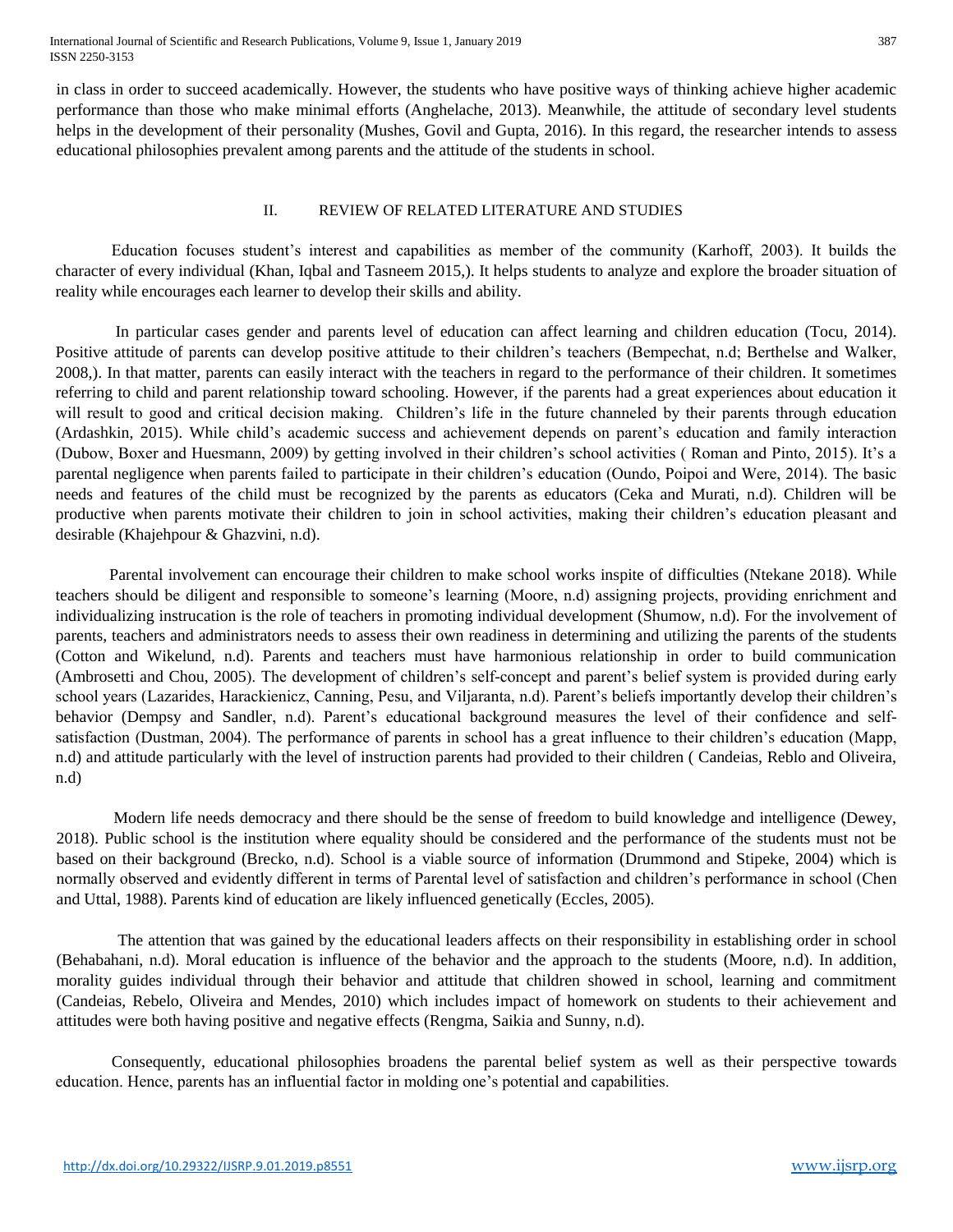International Journal of Scientific and Research Publications, Volume 9, Issue 1, January 2019 387 ISSN 2250-3153

in class in order to succeed academically. However, the students who have positive ways of thinking achieve higher academic performance than those who make minimal efforts (Anghelache, 2013). Meanwhile, the attitude of secondary level students helps in the development of their personality (Mushes, Govil and Gupta, 2016). In this regard, the researcher intends to assess educational philosophies prevalent among parents and the attitude of the students in school.

#### II. REVIEW OF RELATED LITERATURE AND STUDIES

 Education focuses student's interest and capabilities as member of the community (Karhoff, 2003). It builds the character of every individual (Khan, Iqbal and Tasneem 2015,). It helps students to analyze and explore the broader situation of reality while encourages each learner to develop their skills and ability.

 In particular cases gender and parents level of education can affect learning and children education (Tocu, 2014). Positive attitude of parents can develop positive attitude to their children's teachers (Bempechat, n.d; Berthelse and Walker, 2008,). In that matter, parents can easily interact with the teachers in regard to the performance of their children. It sometimes referring to child and parent relationship toward schooling. However, if the parents had a great experiences about education it will result to good and critical decision making. Children's life in the future channeled by their parents through education (Ardashkin, 2015). While child's academic success and achievement depends on parent's education and family interaction (Dubow, Boxer and Huesmann, 2009) by getting involved in their children's school activities ( Roman and Pinto, 2015). It's a parental negligence when parents failed to participate in their children's education (Oundo, Poipoi and Were, 2014). The basic needs and features of the child must be recognized by the parents as educators (Ceka and Murati, n.d). Children will be productive when parents motivate their children to join in school activities, making their children's education pleasant and desirable (Khajehpour & Ghazvini, n.d).

 Parental involvement can encourage their children to make school works inspite of difficulties (Ntekane 2018). While teachers should be diligent and responsible to someone's learning (Moore, n.d) assigning projects, providing enrichment and individualizing instrucation is the role of teachers in promoting individual development (Shumow, n.d). For the involvement of parents, teachers and administrators needs to assess their own readiness in determining and utilizing the parents of the students (Cotton and Wikelund, n.d). Parents and teachers must have harmonious relationship in order to build communication (Ambrosetti and Chou, 2005). The development of children's self-concept and parent's belief system is provided during early school years (Lazarides, Harackienicz, Canning, Pesu, and Viljaranta, n.d). Parent's beliefs importantly develop their children's behavior (Dempsy and Sandler, n.d). Parent's educational background measures the level of their confidence and selfsatisfaction (Dustman, 2004). The performance of parents in school has a great influence to their children's education (Mapp, n.d) and attitude particularly with the level of instruction parents had provided to their children ( Candeias, Reblo and Oliveira, n.d)

 Modern life needs democracy and there should be the sense of freedom to build knowledge and intelligence (Dewey, 2018). Public school is the institution where equality should be considered and the performance of the students must not be based on their background (Brecko, n.d). School is a viable source of information (Drummond and Stipeke, 2004) which is normally observed and evidently different in terms of Parental level of satisfaction and children's performance in school (Chen and Uttal, 1988). Parents kind of education are likely influenced genetically (Eccles, 2005).

 The attention that was gained by the educational leaders affects on their responsibility in establishing order in school (Behabahani, n.d). Moral education is influence of the behavior and the approach to the students (Moore, n.d). In addition, morality guides individual through their behavior and attitude that children showed in school, learning and commitment (Candeias, Rebelo, Oliveira and Mendes, 2010) which includes impact of homework on students to their achievement and attitudes were both having positive and negative effects (Rengma, Saikia and Sunny, n.d).

Consequently, educational philosophies broadens the parental belief system as well as their perspective towards education. Hence, parents has an influential factor in molding one's potential and capabilities.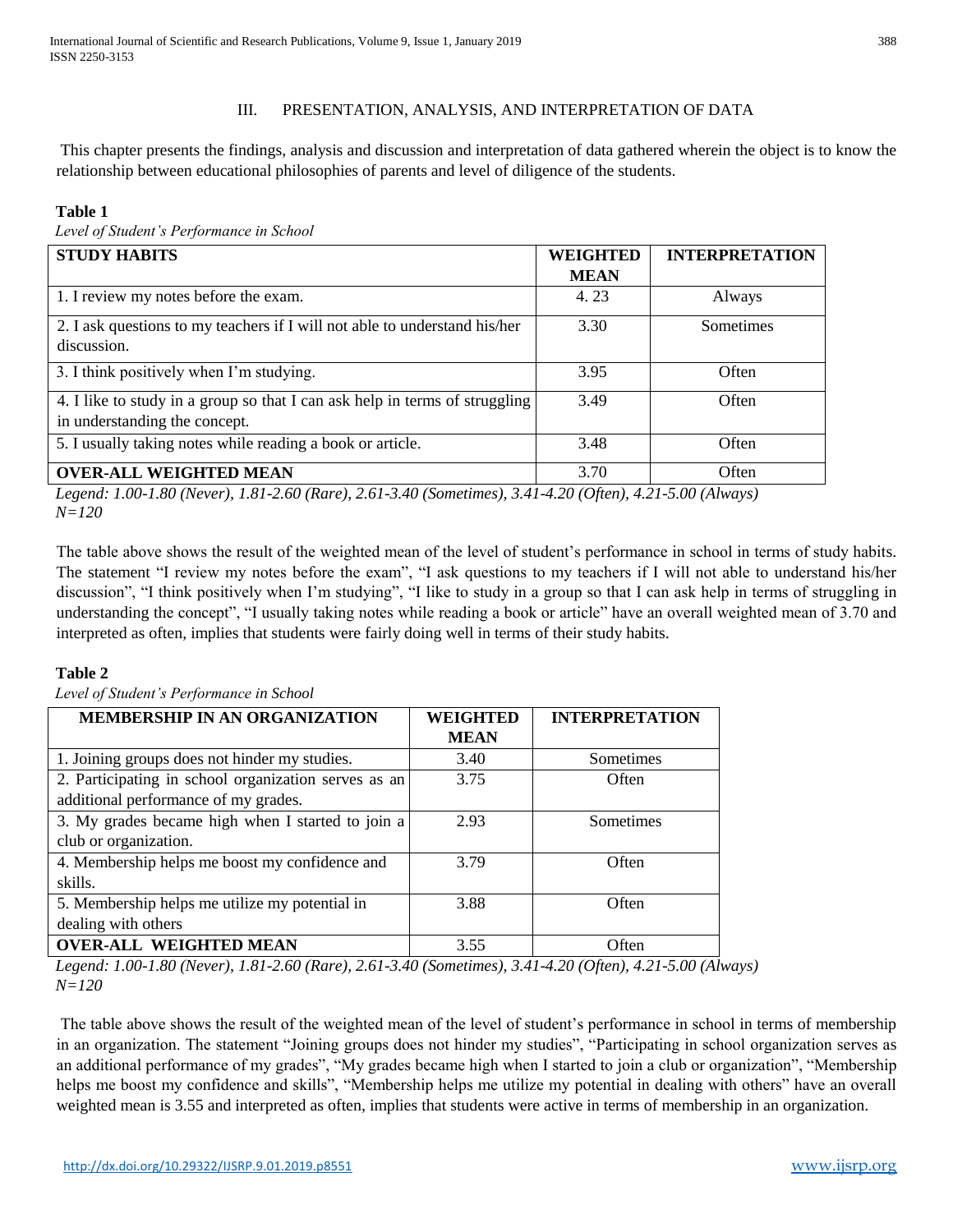# III. PRESENTATION, ANALYSIS, AND INTERPRETATION OF DATA

This chapter presents the findings, analysis and discussion and interpretation of data gathered wherein the object is to know the relationship between educational philosophies of parents and level of diligence of the students.

# **Table 1**

*Level of Student's Performance in School* 

| <b>STUDY HABITS</b>                                                                                          | <b>WEIGHTED</b> | <b>INTERPRETATION</b> |
|--------------------------------------------------------------------------------------------------------------|-----------------|-----------------------|
|                                                                                                              | <b>MEAN</b>     |                       |
| 1. I review my notes before the exam.                                                                        | 4.23            | Always                |
| 2. I ask questions to my teachers if I will not able to understand his/her<br>discussion.                    | 3.30            | Sometimes             |
| 3. I think positively when I'm studying.                                                                     | 3.95            | Often                 |
| 4. I like to study in a group so that I can ask help in terms of struggling<br>in understanding the concept. | 3.49            | Often                 |
| 5. I usually taking notes while reading a book or article.                                                   | 3.48            | Often                 |
| <b>OVER-ALL WEIGHTED MEAN</b>                                                                                | 3.70            | Often                 |

*Legend: 1.00-1.80 (Never), 1.81-2.60 (Rare), 2.61-3.40 (Sometimes), 3.41-4.20 (Often), 4.21-5.00 (Always) N=120* 

The table above shows the result of the weighted mean of the level of student's performance in school in terms of study habits. The statement "I review my notes before the exam", "I ask questions to my teachers if I will not able to understand his/her discussion", "I think positively when I'm studying", "I like to study in a group so that I can ask help in terms of struggling in understanding the concept", "I usually taking notes while reading a book or article" have an overall weighted mean of 3.70 and interpreted as often, implies that students were fairly doing well in terms of their study habits.

# **Table 2**

*Level of Student's Performance in School* 

| MEMBERSHIP IN AN ORGANIZATION                        | <b>WEIGHTED</b> | <b>INTERPRETATION</b> |  |
|------------------------------------------------------|-----------------|-----------------------|--|
|                                                      | <b>MEAN</b>     |                       |  |
| 1. Joining groups does not hinder my studies.        | 3.40            | Sometimes             |  |
| 2. Participating in school organization serves as an | 3.75            | Often                 |  |
| additional performance of my grades.                 |                 |                       |  |
| 3. My grades became high when I started to join a    | 2.93            | Sometimes             |  |
| club or organization.                                |                 |                       |  |
| 4. Membership helps me boost my confidence and       | 3.79            | Often                 |  |
| skills.                                              |                 |                       |  |
| 5. Membership helps me utilize my potential in       | 3.88            | Often                 |  |
| dealing with others                                  |                 |                       |  |
| <b>OVER-ALL WEIGHTED MEAN</b>                        | 3.55            | Often                 |  |

*Legend: 1.00-1.80 (Never), 1.81-2.60 (Rare), 2.61-3.40 (Sometimes), 3.41-4.20 (Often), 4.21-5.00 (Always) N=120* 

The table above shows the result of the weighted mean of the level of student's performance in school in terms of membership in an organization. The statement "Joining groups does not hinder my studies", "Participating in school organization serves as an additional performance of my grades", "My grades became high when I started to join a club or organization", "Membership helps me boost my confidence and skills", "Membership helps me utilize my potential in dealing with others" have an overall weighted mean is 3.55 and interpreted as often, implies that students were active in terms of membership in an organization.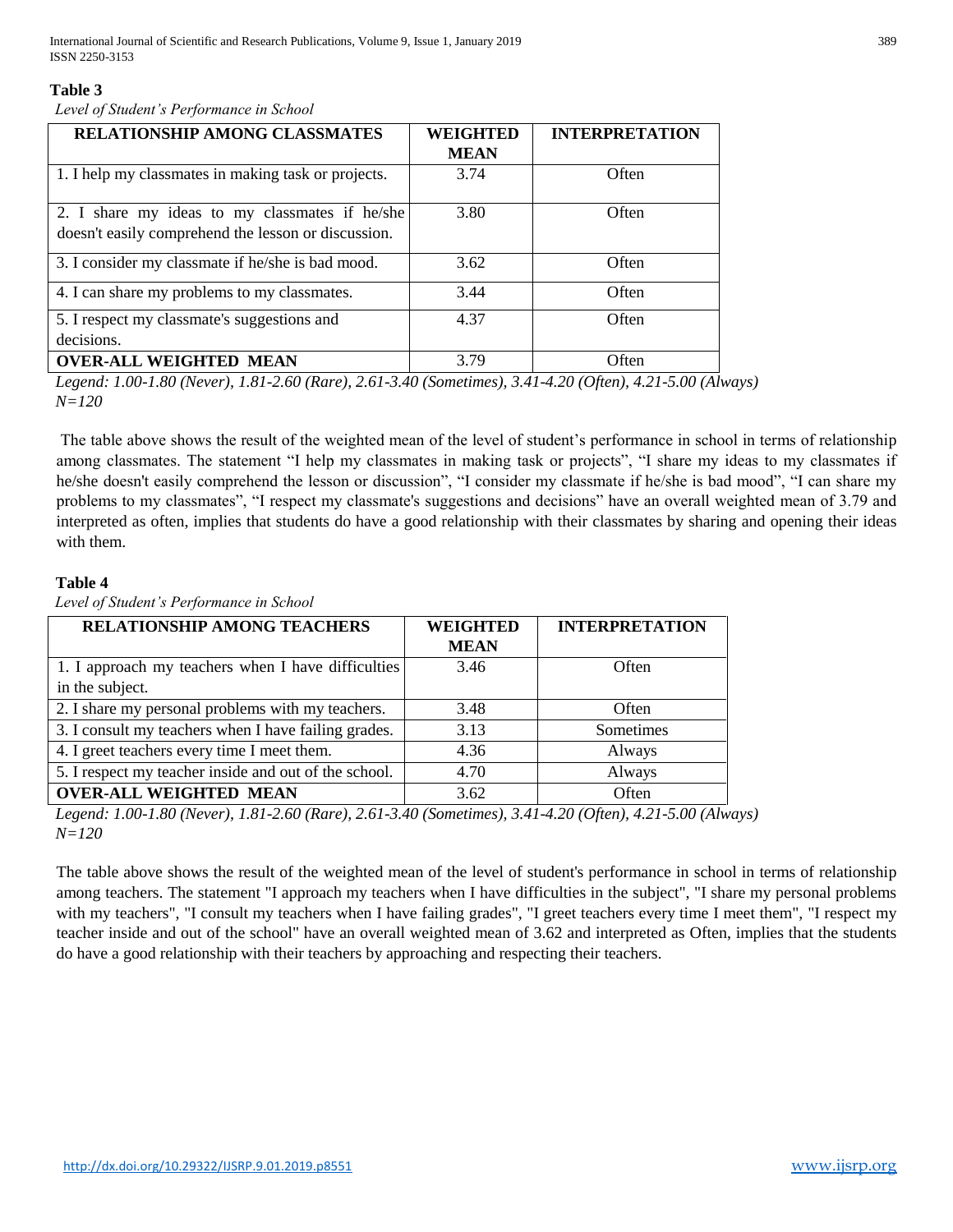## **Table 3**

*Level of Student's Performance in School* 

| RELATIONSHIP AMONG CLASSMATES                                                                         | <b>WEIGHTED</b> | <b>INTERPRETATION</b> |
|-------------------------------------------------------------------------------------------------------|-----------------|-----------------------|
|                                                                                                       | <b>MEAN</b>     |                       |
| 1. I help my classmates in making task or projects.                                                   | 3.74            | Often                 |
| 2. I share my ideas to my classmates if he/she<br>doesn't easily comprehend the lesson or discussion. | 3.80            | Often                 |
| 3. I consider my classmate if he/she is bad mood.                                                     | 3.62            | Often                 |
| 4. I can share my problems to my classmates.                                                          | 3.44            | Often                 |
| 5. I respect my classmate's suggestions and<br>decisions.                                             | 4.37            | Often                 |
| <b>OVER-ALL WEIGHTED MEAN</b>                                                                         | 3.79            | Often                 |

*Legend: 1.00-1.80 (Never), 1.81-2.60 (Rare), 2.61-3.40 (Sometimes), 3.41-4.20 (Often), 4.21-5.00 (Always) N=120* 

The table above shows the result of the weighted mean of the level of student's performance in school in terms of relationship among classmates. The statement "I help my classmates in making task or projects", "I share my ideas to my classmates if he/she doesn't easily comprehend the lesson or discussion", "I consider my classmate if he/she is bad mood", "I can share my problems to my classmates", "I respect my classmate's suggestions and decisions" have an overall weighted mean of 3.79 and interpreted as often, implies that students do have a good relationship with their classmates by sharing and opening their ideas with them.

# **Table 4**

**RELATIONSHIP AMONG TEACHERS WEIGHTED MEAN INTERPRETATION** 1. I approach my teachers when I have difficulties in the subject. 3.46 Often 2. I share my personal problems with my teachers.  $\begin{array}{|l} \hline \end{array}$  3.48 Often 3. I consult my teachers when I have failing grades.  $\begin{array}{|l|l|} \hline \end{array}$  3.13 Sometimes 4. I greet teachers every time I meet them. 4.36 Always 5. I respect my teacher inside and out of the school. 4.70 Always **OVER-ALL WEIGHTED MEAN**  $3.62$  Often

*Level of Student's Performance in School* 

*Legend: 1.00-1.80 (Never), 1.81-2.60 (Rare), 2.61-3.40 (Sometimes), 3.41-4.20 (Often), 4.21-5.00 (Always) N=120* 

The table above shows the result of the weighted mean of the level of student's performance in school in terms of relationship among teachers. The statement "I approach my teachers when I have difficulties in the subject", "I share my personal problems with my teachers", "I consult my teachers when I have failing grades", "I greet teachers every time I meet them", "I respect my teacher inside and out of the school" have an overall weighted mean of 3.62 and interpreted as Often, implies that the students do have a good relationship with their teachers by approaching and respecting their teachers.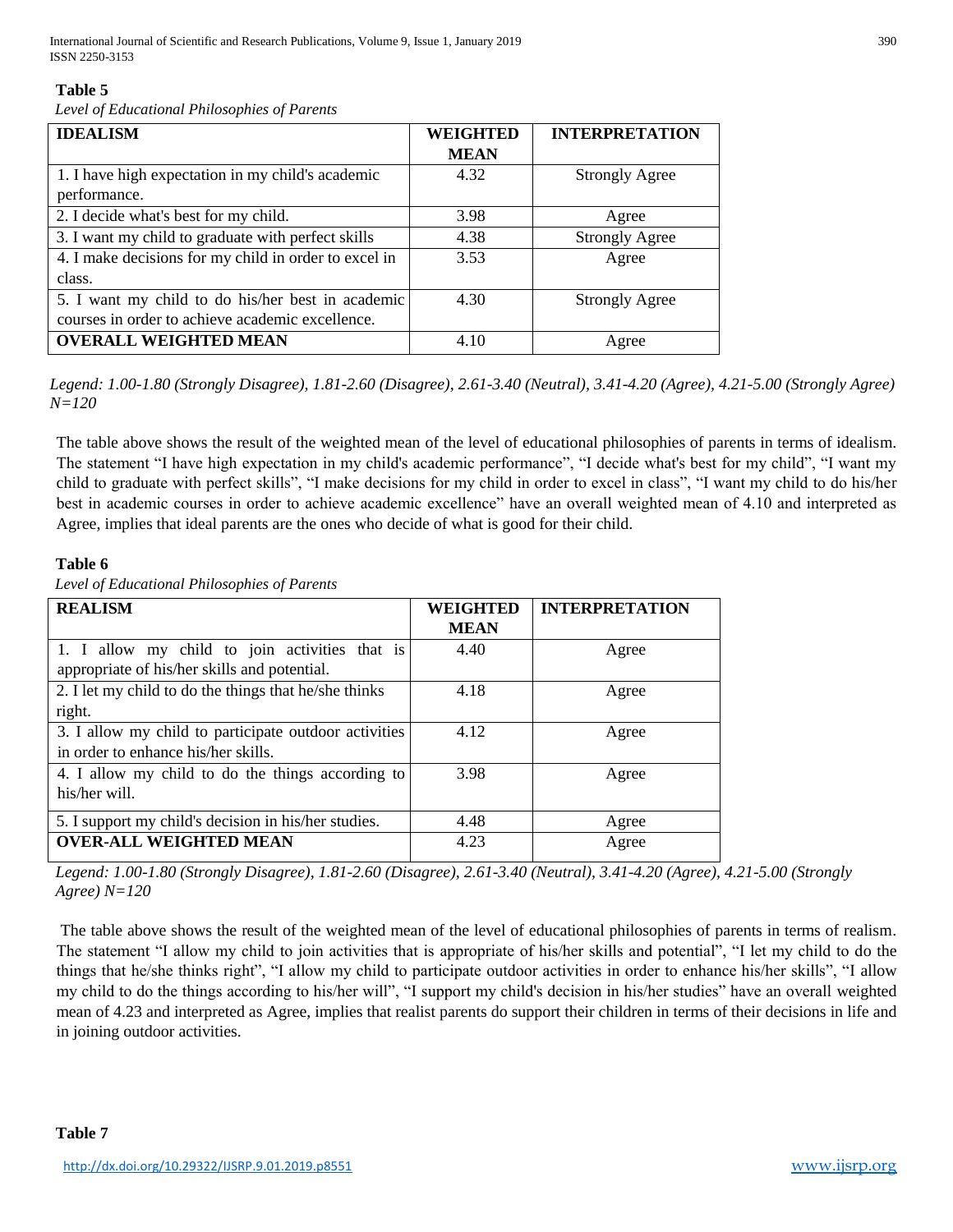# **Table 5**

*Level of Educational Philosophies of Parents* 

| <b>IDEALISM</b>                                       | WEIGHTED    | <b>INTERPRETATION</b> |  |
|-------------------------------------------------------|-------------|-----------------------|--|
|                                                       | <b>MEAN</b> |                       |  |
| 1. I have high expectation in my child's academic     | 4.32        | <b>Strongly Agree</b> |  |
| performance.                                          |             |                       |  |
| 2. I decide what's best for my child.                 | 3.98        | Agree                 |  |
| 3. I want my child to graduate with perfect skills    | 4.38        | <b>Strongly Agree</b> |  |
| 4. I make decisions for my child in order to excel in | 3.53        | Agree                 |  |
| class.                                                |             |                       |  |
| 5. I want my child to do his/her best in academic     | 4.30        | <b>Strongly Agree</b> |  |
| courses in order to achieve academic excellence.      |             |                       |  |
| <b>OVERALL WEIGHTED MEAN</b>                          | 4.10        | Agree                 |  |

*Legend: 1.00-1.80 (Strongly Disagree), 1.81-2.60 (Disagree), 2.61-3.40 (Neutral), 3.41-4.20 (Agree), 4.21-5.00 (Strongly Agree) N=120* 

The table above shows the result of the weighted mean of the level of educational philosophies of parents in terms of idealism. The statement "I have high expectation in my child's academic performance", "I decide what's best for my child", "I want my child to graduate with perfect skills", "I make decisions for my child in order to excel in class", "I want my child to do his/her best in academic courses in order to achieve academic excellence" have an overall weighted mean of 4.10 and interpreted as Agree, implies that ideal parents are the ones who decide of what is good for their child.

# **Table 6**

*Level of Educational Philosophies of Parents* 

| <b>REALISM</b>                                        | <b>WEIGHTED</b> | <b>INTERPRETATION</b> |  |
|-------------------------------------------------------|-----------------|-----------------------|--|
|                                                       | <b>MEAN</b>     |                       |  |
| 1. I allow my child to join activities that is        | 4.40            | Agree                 |  |
| appropriate of his/her skills and potential.          |                 |                       |  |
| 2. I let my child to do the things that he/she thinks | 4.18            | Agree                 |  |
| right.                                                |                 |                       |  |
| 3. I allow my child to participate outdoor activities | 4.12            | Agree                 |  |
| in order to enhance his/her skills.                   |                 |                       |  |
| 4. I allow my child to do the things according to     | 3.98            | Agree                 |  |
| his/her will.                                         |                 |                       |  |
| 5. I support my child's decision in his/her studies.  | 4.48            | Agree                 |  |
| <b>OVER-ALL WEIGHTED MEAN</b>                         | 4.23            | Agree                 |  |

*Legend: 1.00-1.80 (Strongly Disagree), 1.81-2.60 (Disagree), 2.61-3.40 (Neutral), 3.41-4.20 (Agree), 4.21-5.00 (Strongly Agree) N=120* 

The table above shows the result of the weighted mean of the level of educational philosophies of parents in terms of realism. The statement "I allow my child to join activities that is appropriate of his/her skills and potential", "I let my child to do the things that he/she thinks right", "I allow my child to participate outdoor activities in order to enhance his/her skills", "I allow my child to do the things according to his/her will", "I support my child's decision in his/her studies" have an overall weighted mean of 4.23 and interpreted as Agree, implies that realist parents do support their children in terms of their decisions in life and in joining outdoor activities.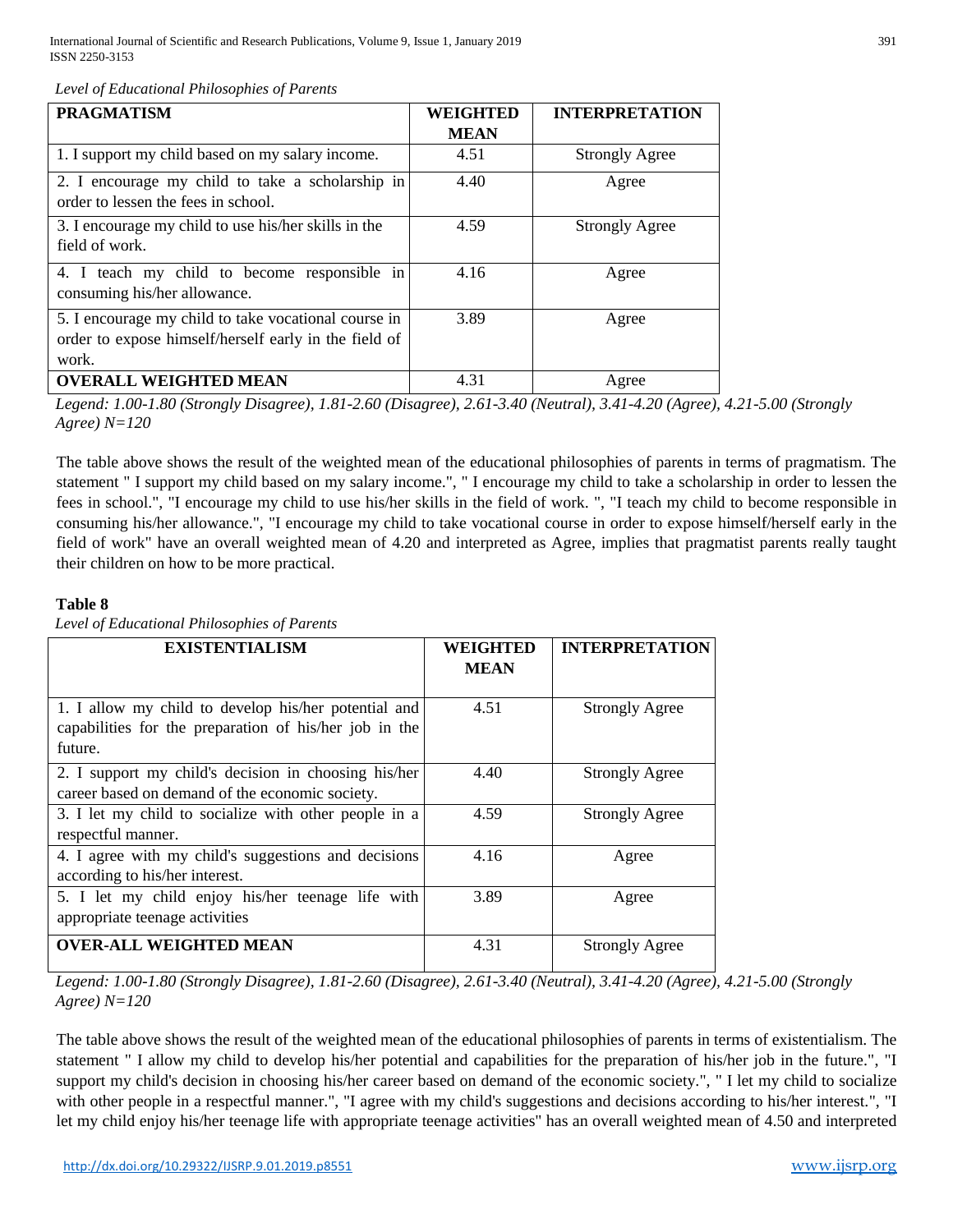*Level of Educational Philosophies of Parents* 

| <b>PRAGMATISM</b>                                                                                                      | <b>WEIGHTED</b> | <b>INTERPRETATION</b> |
|------------------------------------------------------------------------------------------------------------------------|-----------------|-----------------------|
|                                                                                                                        | <b>MEAN</b>     |                       |
| 1. I support my child based on my salary income.                                                                       | 4.51            | <b>Strongly Agree</b> |
| 2. I encourage my child to take a scholarship in<br>order to lessen the fees in school.                                | 4.40            | Agree                 |
| 3. I encourage my child to use his/her skills in the<br>field of work.                                                 | 4.59            | <b>Strongly Agree</b> |
| 4. I teach my child to become responsible in<br>consuming his/her allowance.                                           | 4.16            | Agree                 |
| 5. I encourage my child to take vocational course in<br>order to expose himself/herself early in the field of<br>work. | 3.89            | Agree                 |
| <b>OVERALL WEIGHTED MEAN</b>                                                                                           | 4.31            | Agree                 |

*Legend: 1.00-1.80 (Strongly Disagree), 1.81-2.60 (Disagree), 2.61-3.40 (Neutral), 3.41-4.20 (Agree), 4.21-5.00 (Strongly Agree) N=120* 

The table above shows the result of the weighted mean of the educational philosophies of parents in terms of pragmatism. The statement " I support my child based on my salary income.", " I encourage my child to take a scholarship in order to lessen the fees in school.", "I encourage my child to use his/her skills in the field of work. ", "I teach my child to become responsible in consuming his/her allowance.", "I encourage my child to take vocational course in order to expose himself/herself early in the field of work" have an overall weighted mean of 4.20 and interpreted as Agree, implies that pragmatist parents really taught their children on how to be more practical.

# **Table 8**

*Level of Educational Philosophies of Parents* 

| <b>EXISTENTIALISM</b>                                                                                                     | WEIGHTED<br><b>MEAN</b> | <b>INTERPRETATION</b> |
|---------------------------------------------------------------------------------------------------------------------------|-------------------------|-----------------------|
| 1. I allow my child to develop his/her potential and<br>capabilities for the preparation of his/her job in the<br>future. | 4.51                    | <b>Strongly Agree</b> |
| 2. I support my child's decision in choosing his/her<br>career based on demand of the economic society.                   | 4.40                    | <b>Strongly Agree</b> |
| 3. I let my child to socialize with other people in a<br>respectful manner.                                               | 4.59                    | <b>Strongly Agree</b> |
| 4. I agree with my child's suggestions and decisions<br>according to his/her interest.                                    | 4.16                    | Agree                 |
| 5. I let my child enjoy his/her teenage life with<br>appropriate teenage activities                                       | 3.89                    | Agree                 |
| <b>OVER-ALL WEIGHTED MEAN</b>                                                                                             | 4.31                    | <b>Strongly Agree</b> |

*Legend: 1.00-1.80 (Strongly Disagree), 1.81-2.60 (Disagree), 2.61-3.40 (Neutral), 3.41-4.20 (Agree), 4.21-5.00 (Strongly Agree) N=120* 

The table above shows the result of the weighted mean of the educational philosophies of parents in terms of existentialism. The statement " I allow my child to develop his/her potential and capabilities for the preparation of his/her job in the future.", "I support my child's decision in choosing his/her career based on demand of the economic society.", " I let my child to socialize with other people in a respectful manner.", "I agree with my child's suggestions and decisions according to his/her interest.", "I let my child enjoy his/her teenage life with appropriate teenage activities" has an overall weighted mean of 4.50 and interpreted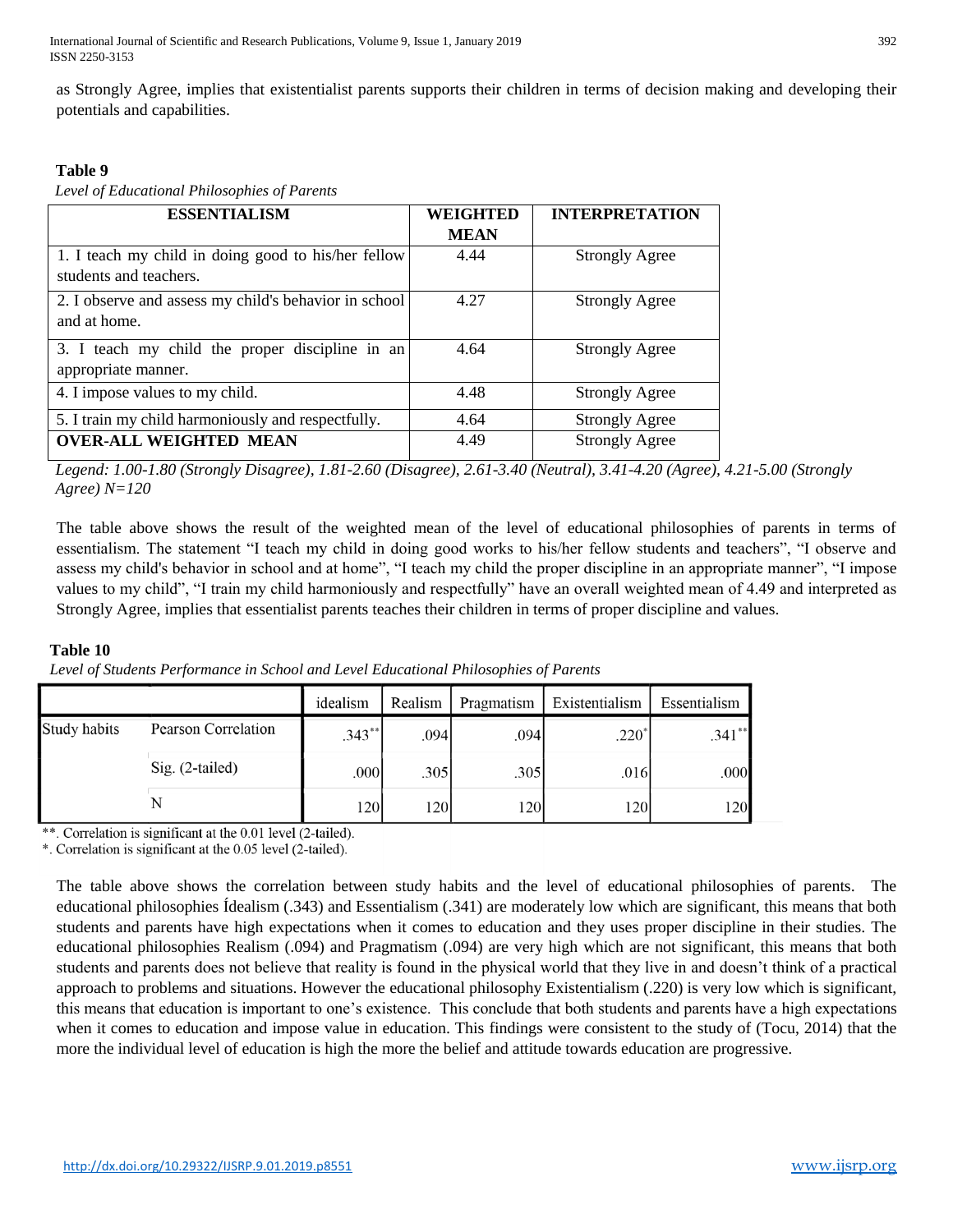International Journal of Scientific and Research Publications, Volume 9, Issue 1, January 2019 392 ISSN 2250-3153

as Strongly Agree, implies that existentialist parents supports their children in terms of decision making and developing their potentials and capabilities.

# **Table 9**

*Level of Educational Philosophies of Parents* 

| <b>ESSENTIALISM</b>                                   | <b>WEIGHTED</b> | <b>INTERPRETATION</b> |
|-------------------------------------------------------|-----------------|-----------------------|
|                                                       | <b>MEAN</b>     |                       |
| 1. I teach my child in doing good to his/her fellow   | 4.44            | <b>Strongly Agree</b> |
| students and teachers.                                |                 |                       |
| 2. I observe and assess my child's behavior in school | 4.27            | <b>Strongly Agree</b> |
| and at home.                                          |                 |                       |
| 3. I teach my child the proper discipline in an       | 4.64            | <b>Strongly Agree</b> |
| appropriate manner.                                   |                 |                       |
| 4. I impose values to my child.                       | 4.48            | <b>Strongly Agree</b> |
| 5. I train my child harmoniously and respectfully.    | 4.64            | <b>Strongly Agree</b> |
| <b>OVER-ALL WEIGHTED MEAN</b>                         | 4.49            | <b>Strongly Agree</b> |

*Legend: 1.00-1.80 (Strongly Disagree), 1.81-2.60 (Disagree), 2.61-3.40 (Neutral), 3.41-4.20 (Agree), 4.21-5.00 (Strongly Agree) N=120* 

The table above shows the result of the weighted mean of the level of educational philosophies of parents in terms of essentialism. The statement "I teach my child in doing good works to his/her fellow students and teachers", "I observe and assess my child's behavior in school and at home", "I teach my child the proper discipline in an appropriate manner", "I impose values to my child", "I train my child harmoniously and respectfully" have an overall weighted mean of 4.49 and interpreted as Strongly Agree, implies that essentialist parents teaches their children in terms of proper discipline and values.

## **Table 10**

*Level of Students Performance in School and Level Educational Philosophies of Parents* 

|              |                            | idealism  | Realism | Pragmatism | Existentialism | Essentialism |
|--------------|----------------------------|-----------|---------|------------|----------------|--------------|
| Study habits | <b>Pearson Correlation</b> | $.343***$ | .094    | .094       | $.220*$        | $.341**$     |
|              | $Sig. (2-tailed)$          | .000      | .3051   | .305       | .0161          | .000         |
|              |                            | 120       | 120     | 120        | <b>120</b>     | 120          |

\*\*. Correlation is significant at the 0.01 level (2-tailed).

\*. Correlation is significant at the 0.05 level (2-tailed).

The table above shows the correlation between study habits and the level of educational philosophies of parents. The educational philosophies Ídealism (.343) and Essentialism (.341) are moderately low which are significant, this means that both students and parents have high expectations when it comes to education and they uses proper discipline in their studies. The educational philosophies Realism (.094) and Pragmatism (.094) are very high which are not significant, this means that both students and parents does not believe that reality is found in the physical world that they live in and doesn't think of a practical approach to problems and situations. However the educational philosophy Existentialism (.220) is very low which is significant, this means that education is important to one's existence. This conclude that both students and parents have a high expectations when it comes to education and impose value in education. This findings were consistent to the study of (Tocu, 2014) that the more the individual level of education is high the more the belief and attitude towards education are progressive.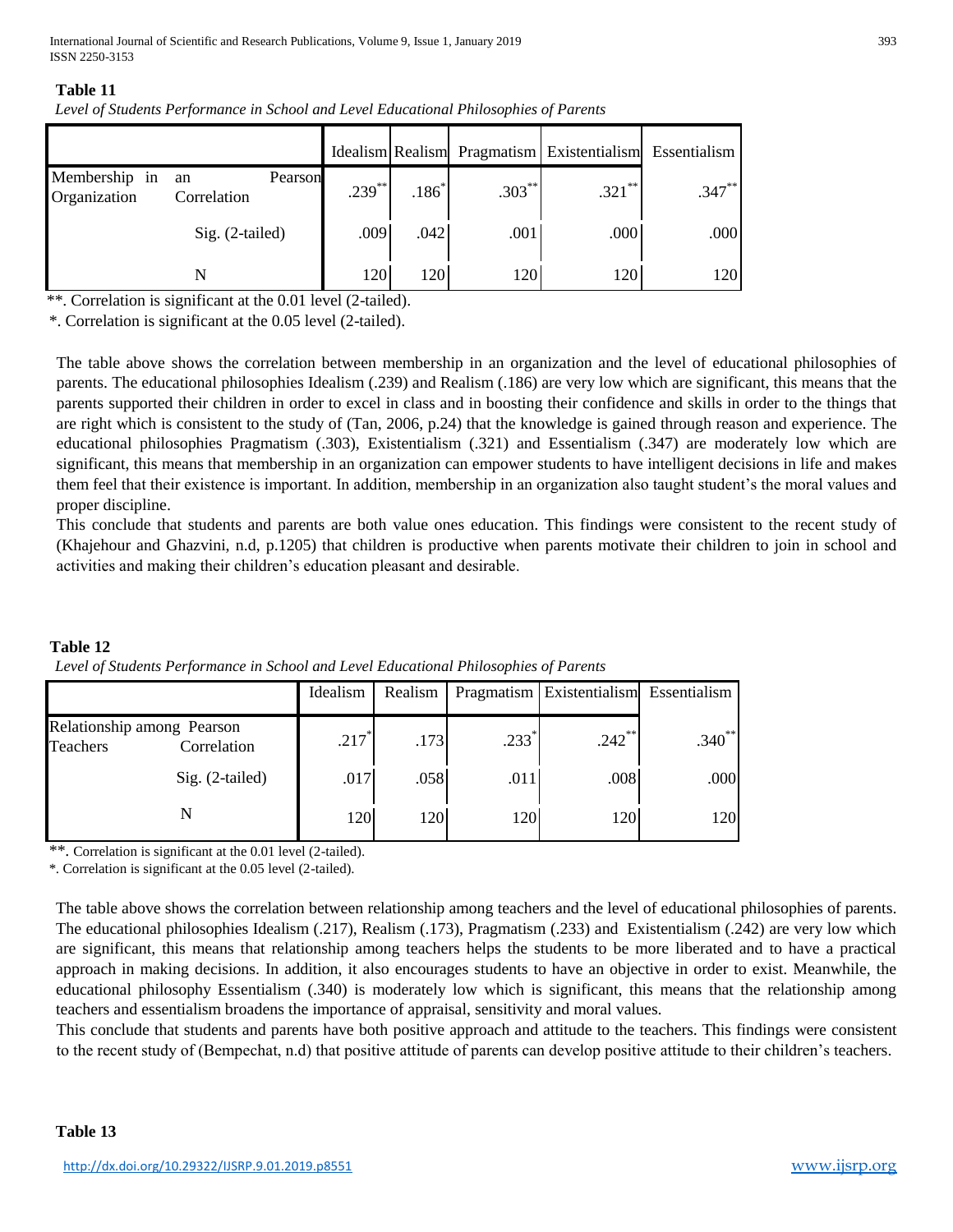## **Table 11**

|  |  | Level of Students Performance in School and Level Educational Philosophies of Parents |
|--|--|---------------------------------------------------------------------------------------|
|  |  |                                                                                       |

|                               |                              |           |         |           | Idealism Realism Pragmatism Existentialism | Essentialism |
|-------------------------------|------------------------------|-----------|---------|-----------|--------------------------------------------|--------------|
| Membership in<br>Organization | Pearson<br>an<br>Correlation | $.239***$ | $.186*$ | $.303***$ | $.321$ **                                  | $.347***$    |
|                               | $Sig. (2-tailed)$            | .009      | .042    | .001      | .000                                       | .000         |
|                               | N                            | 120       | 1201    | 120       | 120                                        | 120          |

\*\*. Correlation is significant at the 0.01 level (2-tailed).

\*. Correlation is significant at the 0.05 level (2-tailed).

The table above shows the correlation between membership in an organization and the level of educational philosophies of parents. The educational philosophies Idealism (.239) and Realism (.186) are very low which are significant, this means that the parents supported their children in order to excel in class and in boosting their confidence and skills in order to the things that are right which is consistent to the study of (Tan, 2006, p.24) that the knowledge is gained through reason and experience. The educational philosophies Pragmatism (.303), Existentialism (.321) and Essentialism (.347) are moderately low which are significant, this means that membership in an organization can empower students to have intelligent decisions in life and makes them feel that their existence is important. In addition, membership in an organization also taught student's the moral values and proper discipline.

This conclude that students and parents are both value ones education. This findings were consistent to the recent study of (Khajehour and Ghazvini, n.d, p.1205) that children is productive when parents motivate their children to join in school and activities and making their children's education pleasant and desirable.

|                                        |                   | Idealism | Realism |                  | Pragmatism Existentialism Essentialism |             |
|----------------------------------------|-------------------|----------|---------|------------------|----------------------------------------|-------------|
| Relationship among Pearson<br>Teachers | Correlation       | .217     | .173    | $.233^{\degree}$ | $.242$ **                              | $.340^{**}$ |
|                                        | $Sig. (2-tailed)$ | .017     | .058    | .011             | .008                                   | .000        |
|                                        |                   | 1201     | 1201    | 120              | 120                                    | 120         |

# **Table 12**  *Level of Students Performance in School and Level Educational Philosophies of Parents*

\*\*. Correlation is significant at the 0.01 level (2-tailed).

\*. Correlation is significant at the 0.05 level (2-tailed).

The table above shows the correlation between relationship among teachers and the level of educational philosophies of parents. The educational philosophies Idealism (.217), Realism (.173), Pragmatism (.233) and Existentialism (.242) are very low which are significant, this means that relationship among teachers helps the students to be more liberated and to have a practical approach in making decisions. In addition, it also encourages students to have an objective in order to exist. Meanwhile, the educational philosophy Essentialism (.340) is moderately low which is significant, this means that the relationship among teachers and essentialism broadens the importance of appraisal, sensitivity and moral values.

This conclude that students and parents have both positive approach and attitude to the teachers. This findings were consistent to the recent study of (Bempechat, n.d) that positive attitude of parents can develop positive attitude to their children's teachers.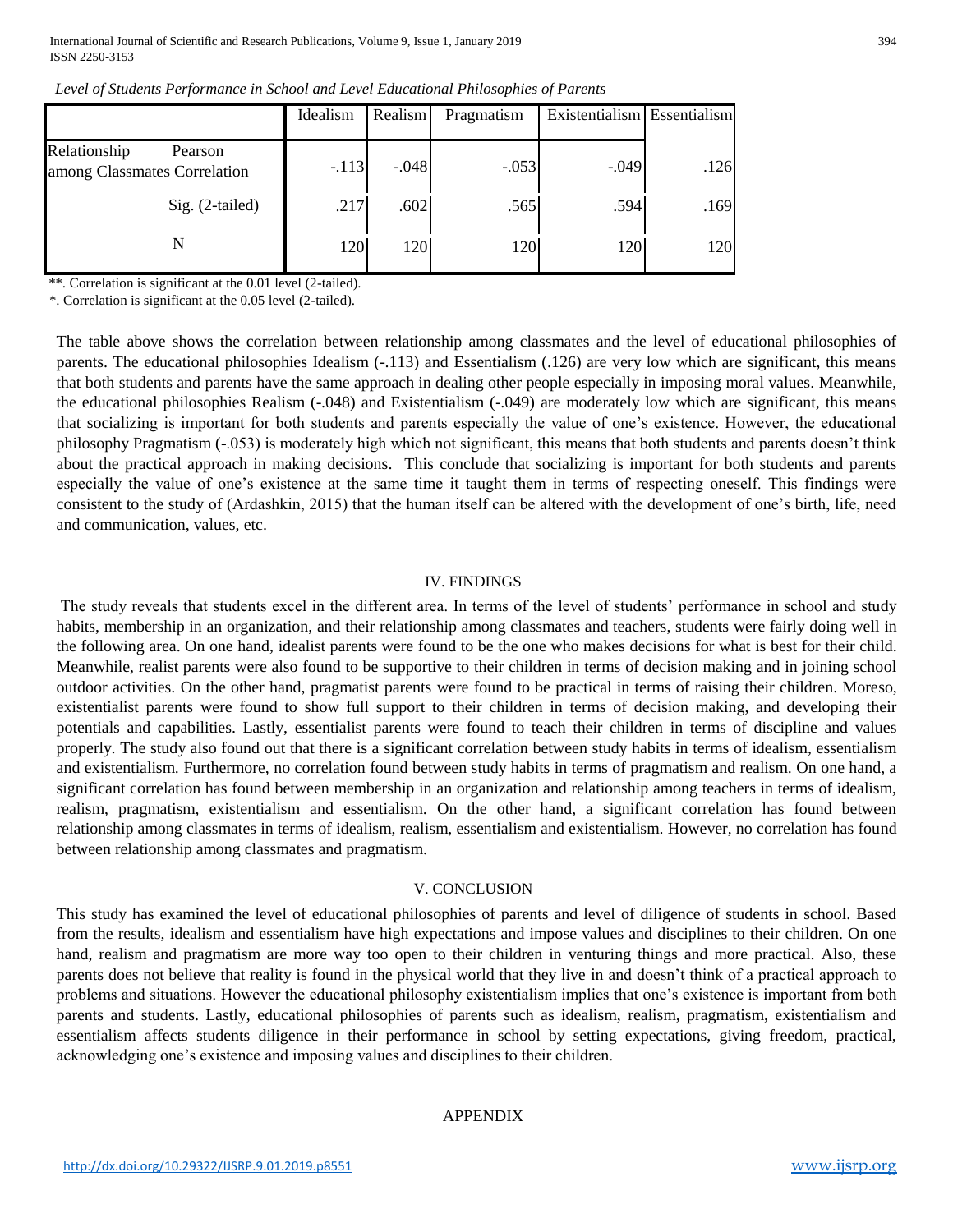|                                                         | Idealism | Realism    | Pragmatism | Existentialism Essentialism |      |
|---------------------------------------------------------|----------|------------|------------|-----------------------------|------|
| Relationship<br>Pearson<br>among Classmates Correlation | $-.113$  | $-.048$    | $-.053$    | $-.049$                     | .126 |
| Sig. (2-tailed)                                         | .217     | .602       | .565       | .594                        | .169 |
| N                                                       | 120      | <b>120</b> | 1201       | 120                         | 120  |

*Level of Students Performance in School and Level Educational Philosophies of Parents* 

\*\*. Correlation is significant at the 0.01 level (2-tailed).

\*. Correlation is significant at the 0.05 level (2-tailed).

The table above shows the correlation between relationship among classmates and the level of educational philosophies of parents. The educational philosophies Idealism (-.113) and Essentialism (.126) are very low which are significant, this means that both students and parents have the same approach in dealing other people especially in imposing moral values. Meanwhile, the educational philosophies Realism (-.048) and Existentialism (-.049) are moderately low which are significant, this means that socializing is important for both students and parents especially the value of one's existence. However, the educational philosophy Pragmatism (-.053) is moderately high which not significant, this means that both students and parents doesn't think about the practical approach in making decisions. This conclude that socializing is important for both students and parents especially the value of one's existence at the same time it taught them in terms of respecting oneself. This findings were consistent to the study of (Ardashkin, 2015) that the human itself can be altered with the development of one's birth, life, need and communication, values, etc.

#### IV. FINDINGS

The study reveals that students excel in the different area. In terms of the level of students' performance in school and study habits, membership in an organization, and their relationship among classmates and teachers, students were fairly doing well in the following area. On one hand, idealist parents were found to be the one who makes decisions for what is best for their child. Meanwhile, realist parents were also found to be supportive to their children in terms of decision making and in joining school outdoor activities. On the other hand, pragmatist parents were found to be practical in terms of raising their children. Moreso, existentialist parents were found to show full support to their children in terms of decision making, and developing their potentials and capabilities. Lastly, essentialist parents were found to teach their children in terms of discipline and values properly. The study also found out that there is a significant correlation between study habits in terms of idealism, essentialism and existentialism. Furthermore, no correlation found between study habits in terms of pragmatism and realism. On one hand, a significant correlation has found between membership in an organization and relationship among teachers in terms of idealism, realism, pragmatism, existentialism and essentialism. On the other hand, a significant correlation has found between relationship among classmates in terms of idealism, realism, essentialism and existentialism. However, no correlation has found between relationship among classmates and pragmatism.

#### V. CONCLUSION

This study has examined the level of educational philosophies of parents and level of diligence of students in school. Based from the results, idealism and essentialism have high expectations and impose values and disciplines to their children. On one hand, realism and pragmatism are more way too open to their children in venturing things and more practical. Also, these parents does not believe that reality is found in the physical world that they live in and doesn't think of a practical approach to problems and situations. However the educational philosophy existentialism implies that one's existence is important from both parents and students. Lastly, educational philosophies of parents such as idealism, realism, pragmatism, existentialism and essentialism affects students diligence in their performance in school by setting expectations, giving freedom, practical, acknowledging one's existence and imposing values and disciplines to their children.

#### APPENDIX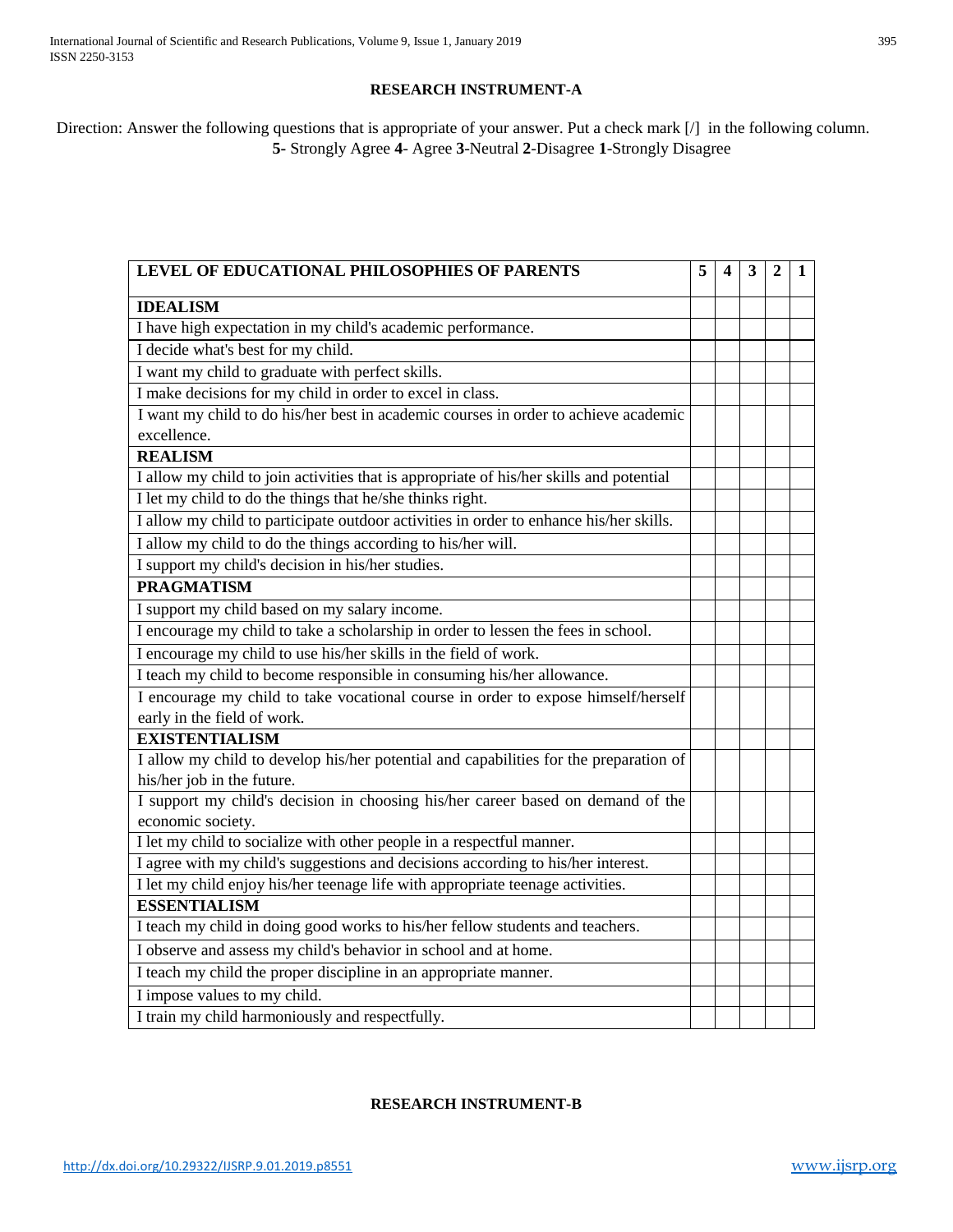# **RESEARCH INSTRUMENT-A**

Direction: Answer the following questions that is appropriate of your answer. Put a check mark [/] in the following column. **5-** Strongly Agree **4**- Agree **3**-Neutral **2**-Disagree **1**-Strongly Disagree

| LEVEL OF EDUCATIONAL PHILOSOPHIES OF PARENTS                                            |  | $\overline{\mathbf{4}}$ | 3 | $\mathbf{2}$ | 1 |
|-----------------------------------------------------------------------------------------|--|-------------------------|---|--------------|---|
| <b>IDEALISM</b>                                                                         |  |                         |   |              |   |
| I have high expectation in my child's academic performance.                             |  |                         |   |              |   |
| I decide what's best for my child.                                                      |  |                         |   |              |   |
| I want my child to graduate with perfect skills.                                        |  |                         |   |              |   |
| I make decisions for my child in order to excel in class.                               |  |                         |   |              |   |
| I want my child to do his/her best in academic courses in order to achieve academic     |  |                         |   |              |   |
| excellence.                                                                             |  |                         |   |              |   |
| <b>REALISM</b>                                                                          |  |                         |   |              |   |
| I allow my child to join activities that is appropriate of his/her skills and potential |  |                         |   |              |   |
| I let my child to do the things that he/she thinks right.                               |  |                         |   |              |   |
| I allow my child to participate outdoor activities in order to enhance his/her skills.  |  |                         |   |              |   |
| I allow my child to do the things according to his/her will.                            |  |                         |   |              |   |
| I support my child's decision in his/her studies.                                       |  |                         |   |              |   |
| <b>PRAGMATISM</b>                                                                       |  |                         |   |              |   |
| I support my child based on my salary income.                                           |  |                         |   |              |   |
| I encourage my child to take a scholarship in order to lessen the fees in school.       |  |                         |   |              |   |
| I encourage my child to use his/her skills in the field of work.                        |  |                         |   |              |   |
| I teach my child to become responsible in consuming his/her allowance.                  |  |                         |   |              |   |
| I encourage my child to take vocational course in order to expose himself/herself       |  |                         |   |              |   |
| early in the field of work.                                                             |  |                         |   |              |   |
| <b>EXISTENTIALISM</b>                                                                   |  |                         |   |              |   |
| I allow my child to develop his/her potential and capabilities for the preparation of   |  |                         |   |              |   |
| his/her job in the future.                                                              |  |                         |   |              |   |
| I support my child's decision in choosing his/her career based on demand of the         |  |                         |   |              |   |
| economic society.                                                                       |  |                         |   |              |   |
| I let my child to socialize with other people in a respectful manner.                   |  |                         |   |              |   |
| I agree with my child's suggestions and decisions according to his/her interest.        |  |                         |   |              |   |
| I let my child enjoy his/her teenage life with appropriate teenage activities.          |  |                         |   |              |   |
| <b>ESSENTIALISM</b>                                                                     |  |                         |   |              |   |
| I teach my child in doing good works to his/her fellow students and teachers.           |  |                         |   |              |   |
| I observe and assess my child's behavior in school and at home.                         |  |                         |   |              |   |
| I teach my child the proper discipline in an appropriate manner.                        |  |                         |   |              |   |
| I impose values to my child.                                                            |  |                         |   |              |   |
| I train my child harmoniously and respectfully.                                         |  |                         |   |              |   |

# **RESEARCH INSTRUMENT-B**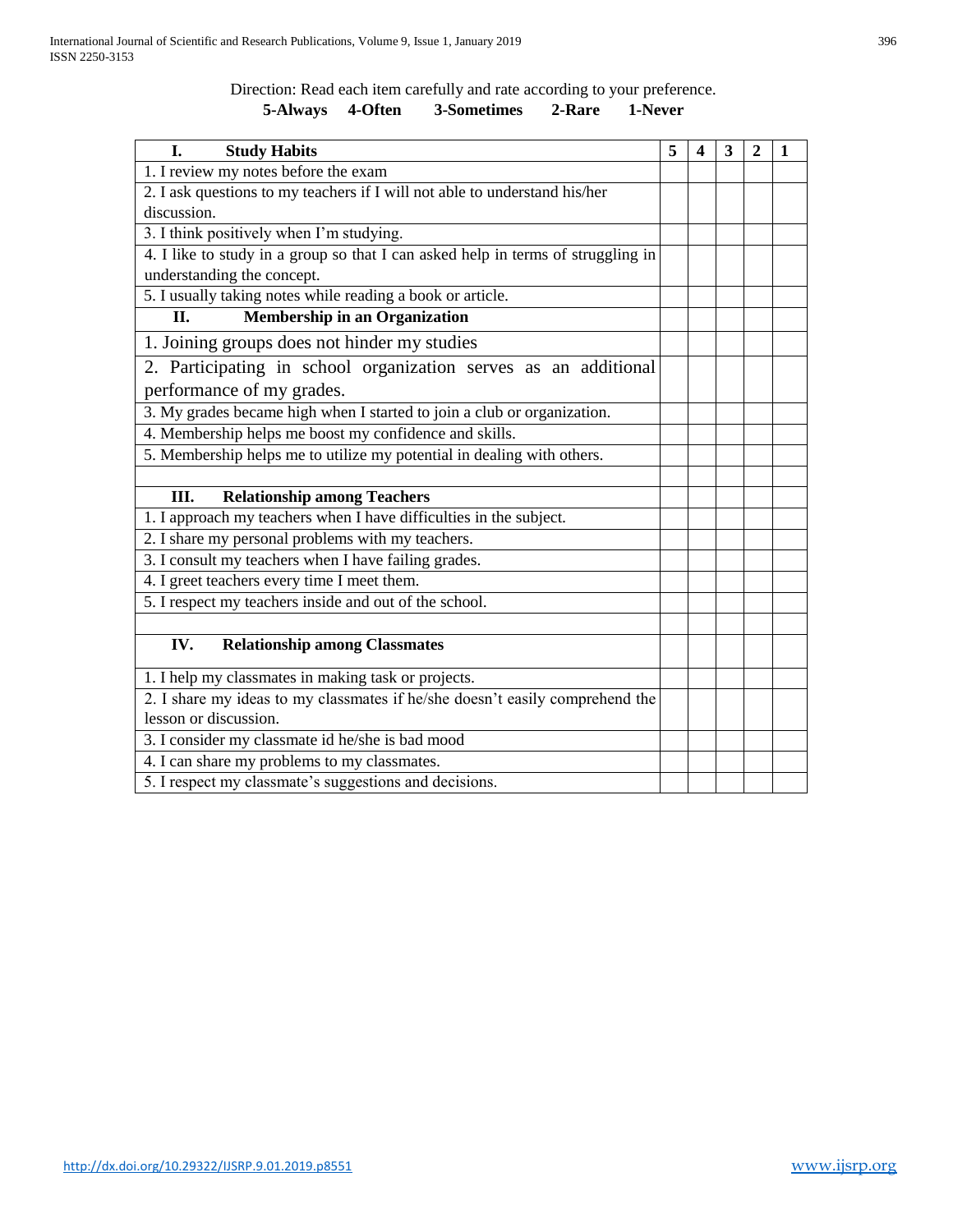Direction: Read each item carefully and rate according to your preference.

# **5-Always 4-Often 3-Sometimes 2-Rare 1-Never**

| <b>Study Habits</b><br>L.                                                        | 5 | 4 | 3 | $\mathbf 2$ | 1 |
|----------------------------------------------------------------------------------|---|---|---|-------------|---|
| 1. I review my notes before the exam                                             |   |   |   |             |   |
| 2. I ask questions to my teachers if I will not able to understand his/her       |   |   |   |             |   |
| discussion.                                                                      |   |   |   |             |   |
| 3. I think positively when I'm studying.                                         |   |   |   |             |   |
| 4. I like to study in a group so that I can asked help in terms of struggling in |   |   |   |             |   |
| understanding the concept.                                                       |   |   |   |             |   |
| 5. I usually taking notes while reading a book or article.                       |   |   |   |             |   |
| <b>Membership in an Organization</b><br>II.                                      |   |   |   |             |   |
| 1. Joining groups does not hinder my studies                                     |   |   |   |             |   |
| 2. Participating in school organization serves as an additional                  |   |   |   |             |   |
| performance of my grades.                                                        |   |   |   |             |   |
| 3. My grades became high when I started to join a club or organization.          |   |   |   |             |   |
| 4. Membership helps me boost my confidence and skills.                           |   |   |   |             |   |
| 5. Membership helps me to utilize my potential in dealing with others.           |   |   |   |             |   |
|                                                                                  |   |   |   |             |   |
| <b>Relationship among Teachers</b><br>Ш.                                         |   |   |   |             |   |
| 1. I approach my teachers when I have difficulties in the subject.               |   |   |   |             |   |
| 2. I share my personal problems with my teachers.                                |   |   |   |             |   |
| 3. I consult my teachers when I have failing grades.                             |   |   |   |             |   |
| 4. I greet teachers every time I meet them.                                      |   |   |   |             |   |
| 5. I respect my teachers inside and out of the school.                           |   |   |   |             |   |
|                                                                                  |   |   |   |             |   |
| IV.<br><b>Relationship among Classmates</b>                                      |   |   |   |             |   |
| 1. I help my classmates in making task or projects.                              |   |   |   |             |   |
| 2. I share my ideas to my classmates if he/she doesn't easily comprehend the     |   |   |   |             |   |
| lesson or discussion.                                                            |   |   |   |             |   |
| 3. I consider my classmate id he/she is bad mood                                 |   |   |   |             |   |
| 4. I can share my problems to my classmates.                                     |   |   |   |             |   |
| 5. I respect my classmate's suggestions and decisions.                           |   |   |   |             |   |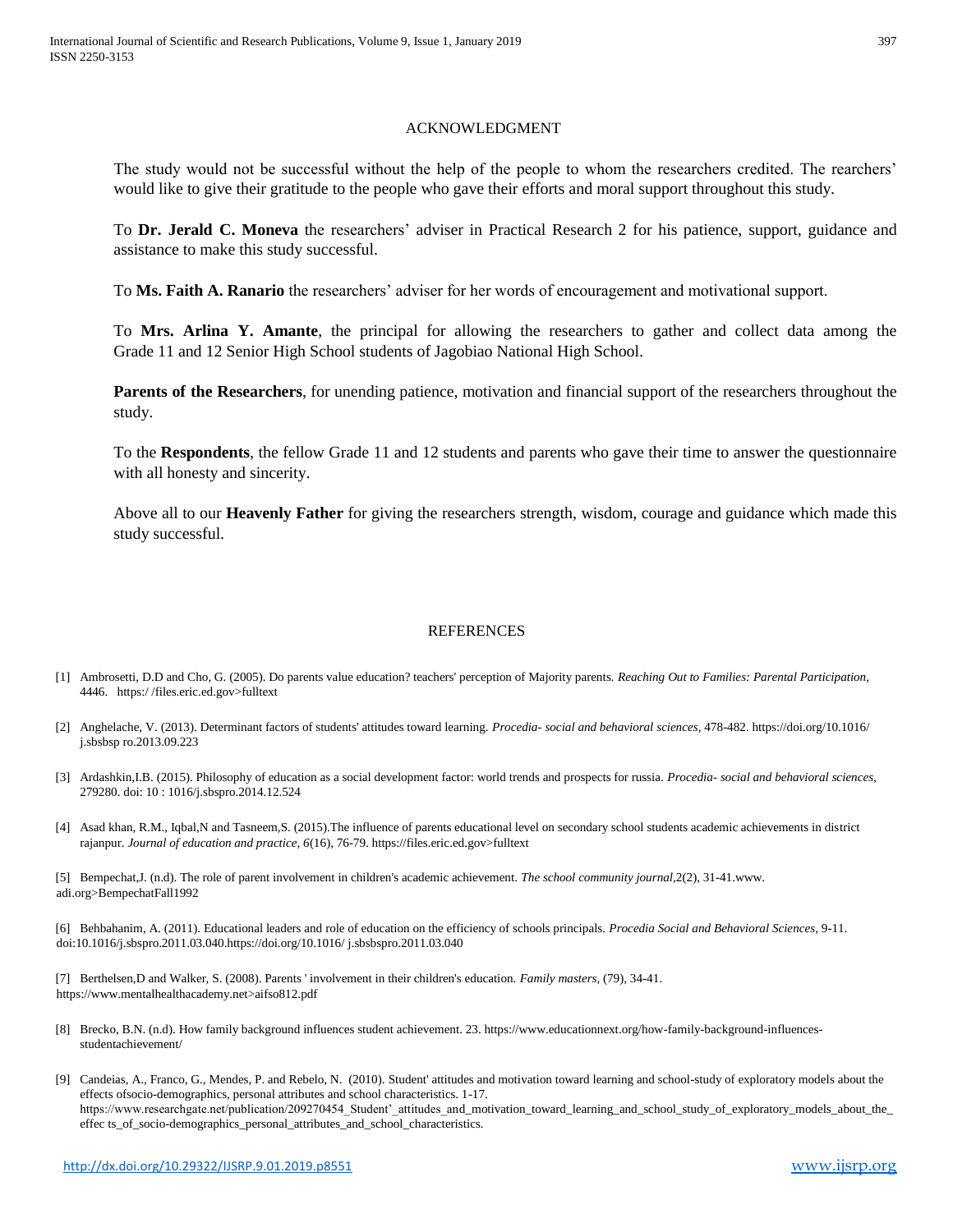#### ACKNOWLEDGMENT

The study would not be successful without the help of the people to whom the researchers credited. The rearchers' would like to give their gratitude to the people who gave their efforts and moral support throughout this study.

To **Dr. Jerald C. Moneva** the researchers' adviser in Practical Research 2 for his patience, support, guidance and assistance to make this study successful.

To **Ms. Faith A. Ranario** the researchers' adviser for her words of encouragement and motivational support.

To **Mrs. Arlina Y. Amante**, the principal for allowing the researchers to gather and collect data among the Grade 11 and 12 Senior High School students of Jagobiao National High School.

**Parents of the Researchers**, for unending patience, motivation and financial support of the researchers throughout the study.

To the **Respondents**, the fellow Grade 11 and 12 students and parents who gave their time to answer the questionnaire with all honesty and sincerity.

Above all to our **Heavenly Father** for giving the researchers strength, wisdom, courage and guidance which made this study successful.

## REFERENCES

- [1] Ambrosetti, D.D and Cho, G. (2005). Do parents value education? teachers' perception of Majority parents. *Reaching Out to Families: Parental Participation,*  4446. https:/ /files.eric.ed.gov>fulltext
- [2] Anghelache, V. (2013). Determinant factors of students' attitudes toward learning. *Procedia- social and behavioral sciences,* 478-482. https://doi.org/10.1016/ j.sbsbsp ro.2013.09.223
- [3] Ardashkin,I.B. (2015). Philosophy of education as a social development factor: world trends and prospects for russia. *Procedia- social and behavioral sciences,*  279280. doi: 10 : 1016/j.sbspro.2014.12.524
- [4] Asad khan, R.M., Iqbal,N and Tasneem,S. (2015).The influence of parents educational level on secondary school students academic achievements in district rajanpur. *Journal of education and practice, 6*(16), 76-79. https://files.eric.ed.gov>fulltext

[5] Bempechat,J. (n.d). The role of parent involvement in children's academic achievement. *The school community journal,*2(2), 31-41.www. adi.org>BempechatFall1992

[6] Behbahanim, A. (2011). Educational leaders and role of education on the efficiency of schools principals. *Procedia Social and Behavioral Sciences*, 9-11. doi:10.1016/j.sbspro.2011.03.040.https://doi.org/10.1016/ j.sbsbspro.2011.03.040

[7] Berthelsen,D and Walker, S. (2008). Parents ' involvement in their children's education. *Family masters,* (79), 34-41. https://www.mentalhealthacademy.net>aifso812.pdf

- [8] Brecko, B.N. (n.d). How family background influences student achievement. 23. https://www.educationnext.org/how-family-background-influencesstudentachievement/
- [9] Candeias, A., Franco, G., Mendes, P. and Rebelo, N. (2010). Student' attitudes and motivation toward learning and school-study of exploratory models about the effects ofsocio-demographics, personal attributes and school characteristics. 1-17. https://www.researchgate.net/publication/209270454 Student' attitudes and motivation\_toward\_learning\_and\_school\_study\_of\_exploratory\_models\_about\_the effec ts\_of\_socio-demographics\_personal\_attributes\_and\_school\_characteristics.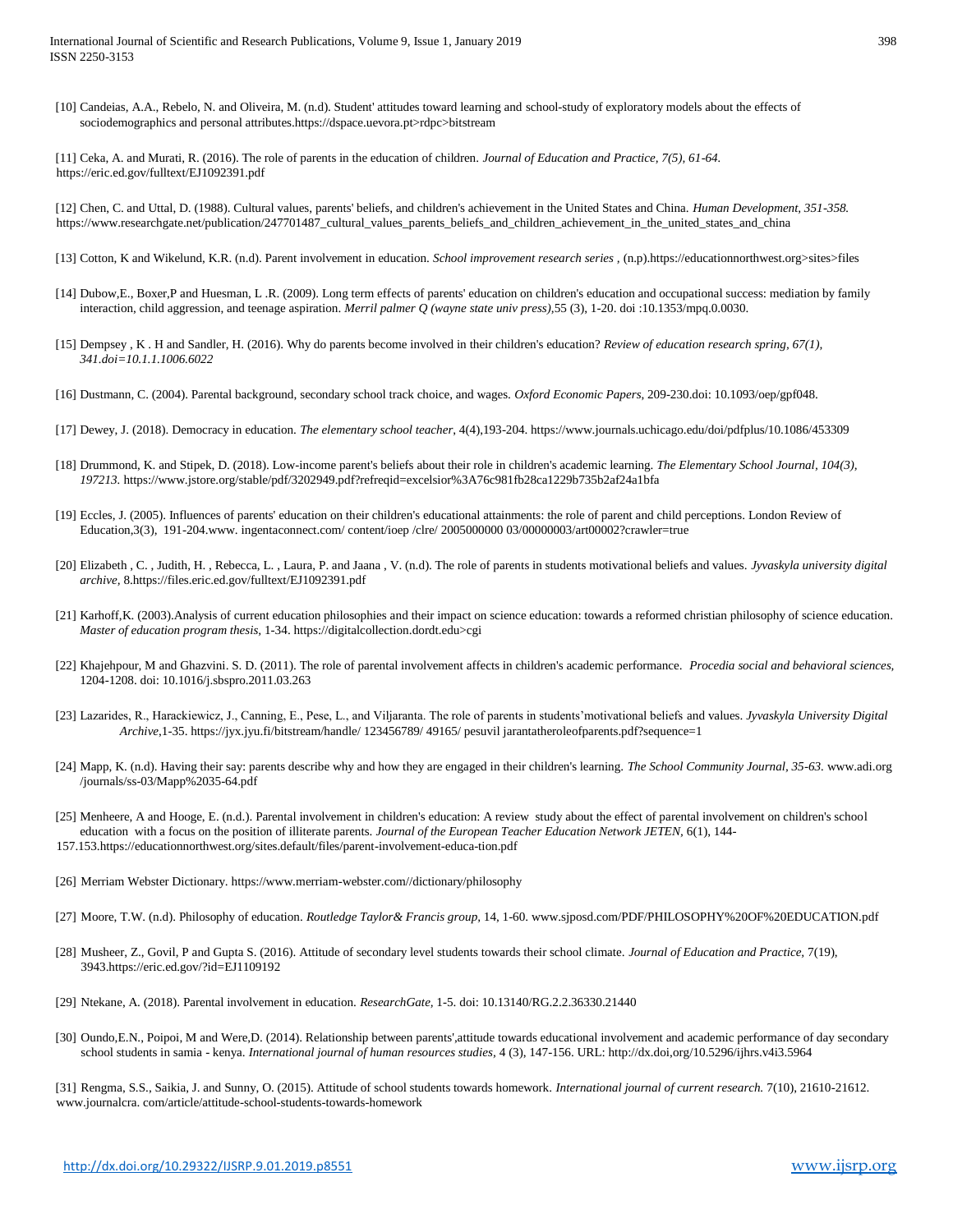[10] Candeias, A.A., Rebelo, N. and Oliveira, M. (n.d). Student' attitudes toward learning and school-study of exploratory models about the effects of sociodemographics and personal attributes.https://dspace.uevora.pt>rdpc>bitstream

[11] Ceka, A. and Murati, R. (2016). The role of parents in the education of children. *Journal of Education and Practice, 7(5), 61-64.*  <https://eric.ed.gov/fulltext/EJ1092391.pdf>

[12] Chen, C. and Uttal, D. (1988). Cultural values, parents' beliefs, and children's achievement in the United States and China. *Human Development, 351-358.* https://www.researchgate.net/publication/247701487\_cultural\_values\_parents\_beliefs\_and\_children\_achievement\_in\_the\_united\_states\_and\_china

- [13] Cotton, K and Wikelund, K.R. (n.d). Parent involvement in education. *School improvement research series ,* (n.p).https://educationnorthwest.org>sites>files
- [14] Dubow,E., Boxer,P and Huesman, L .R. (2009). Long term effects of parents' education on children's education and occupational success: mediation by family interaction, child aggression, and teenage aspiration. *Merril palmer Q (wayne state univ press),*55 (3), 1-20. doi :10.1353/mpq.0.0030.
- [15] Dempsey , K . H and Sandler, H. (2016). Why do parents become involved in their children's education? *Review of education research spring, 67(1), 341.doi=10.1.1.1006.6022*
- [16] Dustmann, C. (2004). Parental background, secondary school track choice, and wages. *Oxford Economic Papers*, 209-230.doi: 10.1093/oep/gpf048.
- [17] Dewey, J. (2018). Democracy in education. *The elementary school teacher*, 4(4),193-204. https://www.journals.uchicago.edu/doi/pdfplus/10.1086/453309
- [18] Drummond, K. and Stipek, D. (2018). Low-income parent's beliefs about their role in children's academic learning. *The Elementary School Journal, 104(3), 197213.* https://www.jstore.org/stable/pdf/3202949.pdf?refreqid=excelsior%3A76c981fb28ca1229b735b2af24a1bfa
- [19] Eccles, J. (2005). Influences of parents' education on their children's educational attainments: the role of parent and child perceptions. London Review of Education,3(3), 191-204.www. ingentaconnect.com/ content/ioep /clre/ 2005000000 03/00000003/art00002?crawler=true
- [20] Elizabeth , C. , Judith, H. , Rebecca, L. , Laura, P. and Jaana , V. (n.d). The role of parents in students motivational beliefs and values. *Jyvaskyla university digital archive,* 8.https://files.eric.ed.gov/fulltext/EJ1092391.pdf
- [21] Karhoff,K. (2003).Analysis of current education philosophies and their impact on science education: towards a reformed christian philosophy of science education. *Master of education program thesis,* 1-34. https://digitalcollection.dordt.edu>cgi
- [22] Khajehpour, M and Ghazvini. S. D. (2011). The role of parental involvement affects in children's academic performance. *Procedia social and behavioral sciences,* 1204-1208. doi: 10.1016/j.sbspro.2011.03.263
- [23] Lazarides, R., Harackiewicz, J., Canning, E., Pese, L., and Viljaranta. The role of parents in students'motivational beliefs and values. *Jyvaskyla University Digital Archive*,1-35. https://jyx.jyu.fi/bitstream/handle/ 123456789/ 49165/ pesuvil jarantatheroleofparents.pdf?sequence=1
- [24] Mapp, K. (n.d). Having their say: parents describe why and how they are engaged in their children's learning. *The School Community Journal, 35-63.* www.adi.org /journals/ss-03/Mapp%2035-64.pdf
- [25] Menheere, A and Hooge, E. (n.d.). Parental involvement in children's education: A review study about the effect of parental involvement on children's school education with a focus on the position of illiterate parents. *Journal of the European Teacher Education Network JETEN*, 6(1), 144-157.153.https://educationnorthwest.org/sites.default/files/parent-involvement-educa-tion.pdf
- [26] Merriam Webster Dictionary. https://www.merriam-webster.com//dictionary/philosophy
- [27] Moore, T.W. (n.d). Philosophy of education. *Routledge Taylor& Francis group,* 14, 1-60. www.sjposd.com/PDF/PHILOSOPHY%20OF%20EDUCATION.pdf
- [28] Musheer, Z., Govil, P and Gupta S. (2016). Attitude of secondary level students towards their school climate. *Journal of Education and Practice,* 7(19), 3943.https://eric.ed.gov/?id=EJ1109192
- [29] Ntekane, A. (2018). Parental involvement in education. *ResearchGate,* 1-5. doi: 10.13140/RG.2.2.36330.21440
- [30] Oundo,E.N., Poipoi, M and Were,D. (2014). Relationship between parents',attitude towards educational involvement and academic performance of day secondary school students in samia - kenya. *International journal of human resources studies,* 4 (3), 147-156. URL: http://dx.doi,org/10.5296/ijhrs.v4i3.5964

[31] Rengma, S.S., Saikia, J. and Sunny, O. (2015). Attitude of school students towards homework. *International journal of current research.* 7(10), 21610-21612. www.journalcra. com/article/attitude-school-students-towards-homework